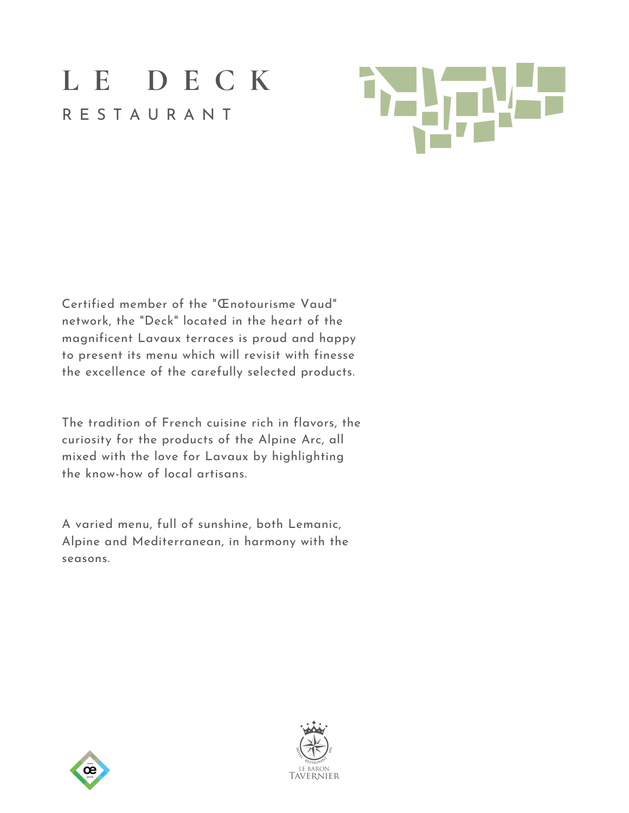

Certified member of the "Œnotourisme Vaud" network, the "Deck" located in the heart of the magnificent Lavaux terraces is proud and happy to present its menu which will revisit with finesse the excellence of the carefully selected products.

The tradition of French cuisine rich in flavors, the curiosity for the products of the Alpine Arc, all mixed with the love for Lavaux by highlighting the know-how of local artisans.

A varied menu, full of sunshine, both Lemanic, Alpine and Mediterranean, in harmony with the seasons.



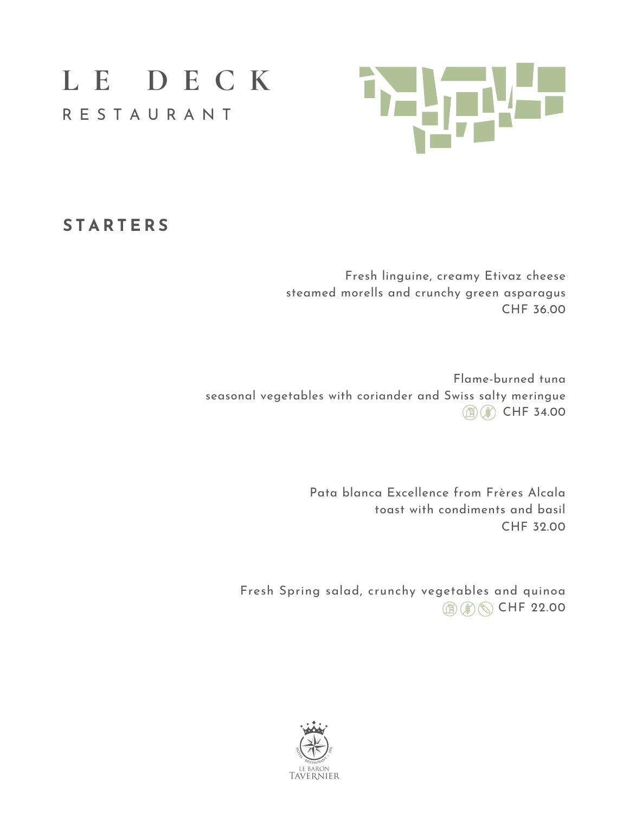

### **S T A R T E R S**

Fresh linguine, creamy Etivaz cheese steamed morells and crunchy green asparagus CHF 36.00

Flame-burned tuna seasonal vegetables with coriander and Swiss salty meringue **① ③ CHF 34.00** 

> Pata blanca Excellence from Frères Alcala toast with condiments and basil CHF 32.00

Fresh Spring salad, crunchy vegetables and quinoa **A** A CHF 22.00

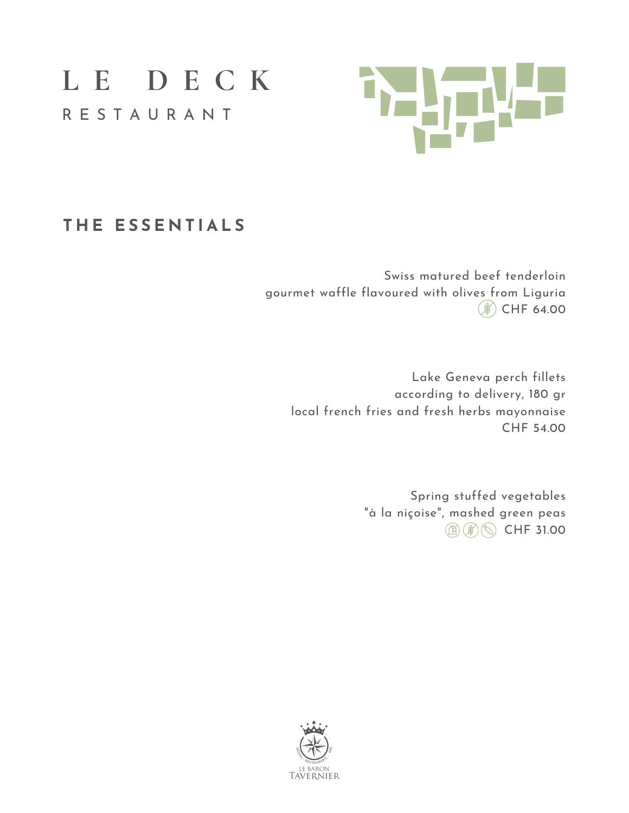

## **T H E E S S E N T I A L S**

Swiss matured beef tenderloin gourmet waffle flavoured with olives from Liguria  $(*)$  CHF 64.00

Lake Geneva perch fillets according to delivery, 180 gr local french fries and fresh herbs mayonnaise CHF 54.00

> Spring stuffed vegetables "à la niçoise", mashed green peas **A** A CHF 31.00

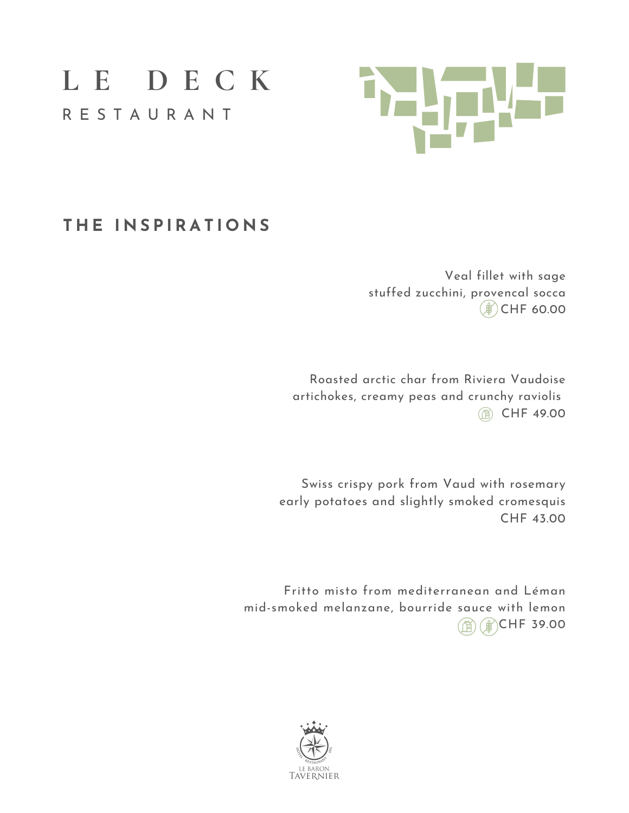

## $THE$  **INSPIRATIONS**

Veal fillet with sage stuffed zucchini, provencal socca  $(*)$  CHF 60.00

Roasted arctic char from Riviera Vaudoise artichokes, creamy peas and crunchy raviolis **6 CHF 49.00** 

Swiss crispy pork from Vaud with rosemary early potatoes and slightly smoked cromesquis CHF 43.00

Fritto misto from mediterranean and Léman mid-smoked melanzane, bourride sauce with lemon CHF 39.00

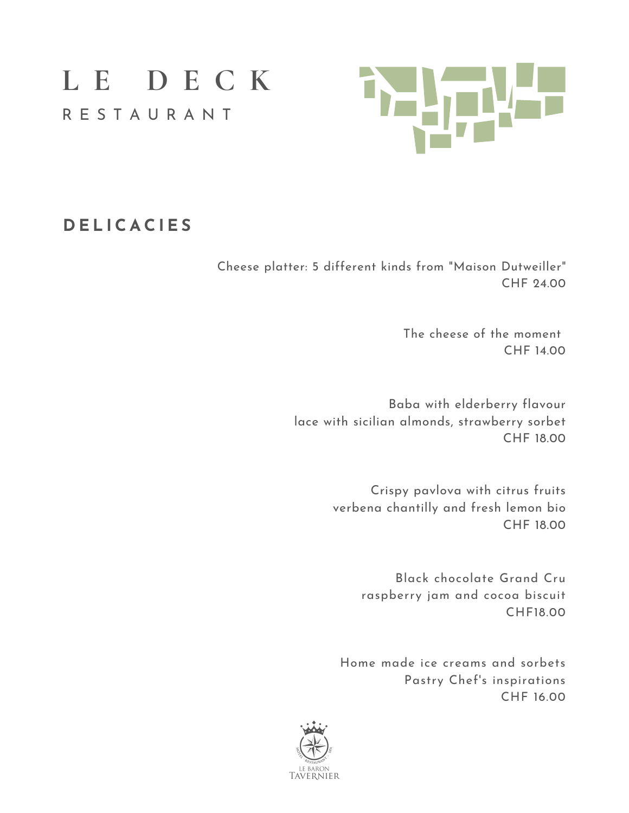

## **D E L I C A C I E S**

Cheese platter: 5 different kinds from "Maison Dutweiller" CHF 24.00

> The cheese of the moment CHF 14.00

Baba with elderberry flavour lace with sicilian almonds, strawberry sorbet CHF 18.00

> Crispy pavlova with citrus fruits verbena chantilly and fresh lemon bio CHF 18.00

> > Black chocolate Grand Cru raspberry jam and cocoa biscuit CHF18.00

Home made ice creams and sorbets Pastry Chef's inspirations CHF 16.00